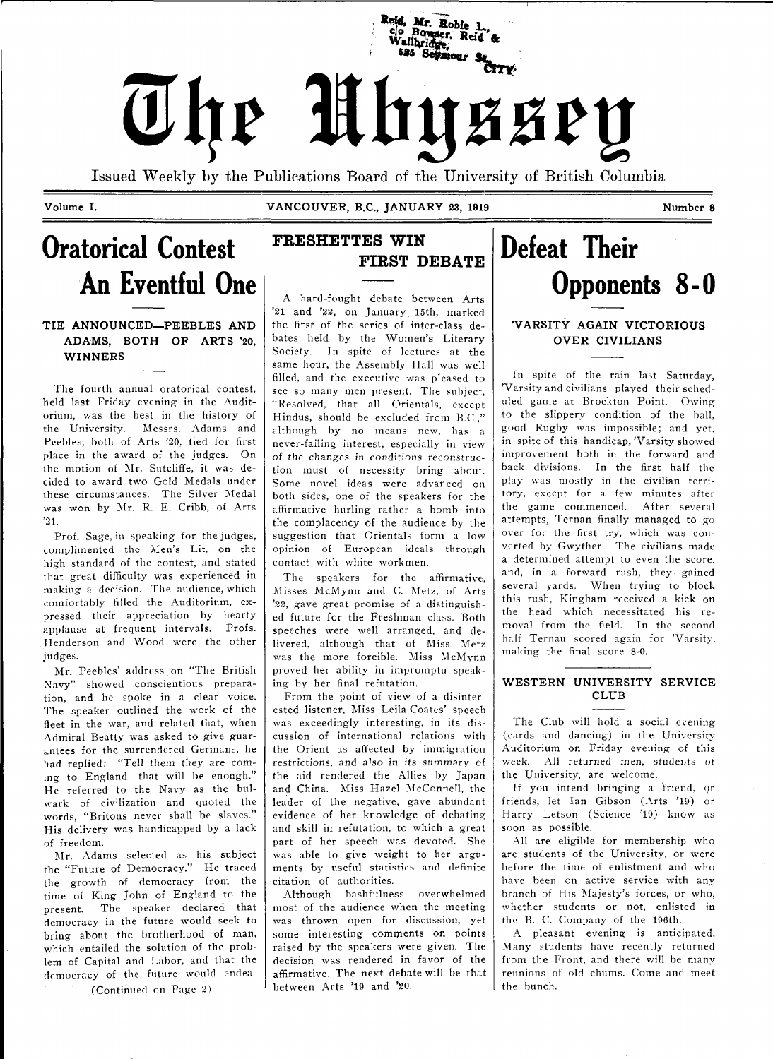

Issued Weekly by the Publications Board of the University of British Columbia

**Volume I. VANCOUVER, B.C., JANUARY 23, 1919 Number 8** 

## **Oratorical Contest An Eventful One**

### TIE ANNOUNCED—PEEBLES AND ADAMS, BOTH OF ARTS '20, WINNERS

The fourth annual oratorical contest, held last Friday evening in the Auditorium, was the best in the history of the University. Messrs. Adams and Peebles, both of Arts '20, tied for first place in the award of the judges. On the motion of Mr. Sutcliffe, it was decided to award two Gold Medals under these circumstances. The Silver Medal was won by Mr. R. E. Cribb, of Arts '21.

Prof. Sage, in speaking for the judges, complimented the Men's Lit. on the high standard of the contest, and stated that great difficulty was experienced in making a decision. The audience, which comfortably filled the Auditorium, expressed their appreciation by hearty applause at frequent intervals. Profs. Henderson and Wood were the other judges.

Mr. Peebles' address on "The British Navy" showed conscientious preparation, and he spoke in a clear voice. The speaker outlined the work of the fleet in the war, and related that, when Admiral Beatty was asked to give guarantees for the surrendered Germans, he had replied: "Tell them they are coming to England—that will be enough." He referred to the Navy as the bulwark of civilization and quoted the words, "Britons never shall be slaves." His delivery was handicapped by a lack of freedom.

Mr. Adams selected as his subject the "Future of Democracy." He traced the growth of democracy from the time of King John of England to the present. The speaker declared that democracy in the future would seek to bring about the brotherhood of man, which entailed the solution of the problem of Capital and Labor, and that the democracy of the future would endea- (Continued on Page 2)

## FRESHETTES WIN FIRST DEBATE

A hard-fought debate between Arts '21 and '22, on January 15th, marked the first of the series of inter-class debates held by the Women's Literary Society. In spite of lectures at the same hour, the Assembly Hall was well filled, and the executive was pleased to see so many men present. The subject, "Resolved, that all Orientals, except Hindus, should be excluded from B.C.," although by no means new, has a never-failing interest, especially in view of the changes in conditions reconstruction must of necessity bring about. Some novel ideas were advanced on both sides, one of the speakers for the affirmative hurling rather a bomb into the complacency of the audience by the suggestion that Orientals form a low opinion of European ideals through contact with white workmen.

The speakers for the affirmative, Misses McMynn and C. Metz, of Arts '22, gave great promise of a distinguished future for the Freshman class. Botli speeches were well arranged, and delivered, although that of Miss Metz was the more forcible. Miss McMynn proved her ability in impromptu speaking by her final refutation.

From the point of view of a disinterested listener, Miss Leila Coates' speech was exceedingly interesting, in its discussion of international relations with the Orient as affected by immigration restrictions, and also in its summary of the aid rendered the Allies by Japan and China. Miss Hazel McConnell, the leader of the negative, gave abundant evidence of her knowledge of debating and skill in refutation, to which a great part of her speech was devoted. She was able to give weight to her arguments by useful statistics and definite citation of authorities.

Although bashfulness overwhelmed most of the audience when the meeting was thrown open for discussion, yet some interesting comments on points raised by the speakers were given. The decision was rendered in favor of the affirmative. The next debate will be that between Arts '19 and '20.

## **Defeat Their Opponents 8-0**

## **'VARSITY AGAIN VICTORIOUS OVER CIVILIANS**

In spite of the rain last Saturday, 'Varsity and civilians played their scheduled game at Brockton Point. Owing to the slippery condition of the ball, good Rugby was impossible; and yet, in spite of this handicap, 'Varsity showed improvement both in the forward and back divisions. In the first half the play was mostly in the civilian territory, except for a few minutes after the game commenced. After several attempts, Ternan finally managed to go over for the first try, which was converted by Gwyther. The civilians made a determined attempt to even the score, and, in a forward rush, they gained several yards. When trying to block this rush, Kingham received a kick on the head which necessitated his removal from the field. In the second half Ternau scored again for 'Varsity, making the final score 8-0.

#### **WESTERN UNIVERSITY SERVICE CLUB**

The Club will hold a social evening (cards and dancing) in the University Auditorium on Friday evening of this week. All returned men, students of the University, are welcome.

If you intend bringing a friend, or friends, let Ian Gibson (Arts '19) or Harry Letson (Science '19) know as soon as possible.

All are eligible for membership who are students of the University, or were before the time of enlistment and who have been on active service with any branch of His Majesty's forces, or who, whether students or not, enlisted in the B. C. Company of the 196th.

A pleasant evening is anticipated. Many students have recently returned from the Front, and there will be many reunions of old chums. Come and meet the bunch.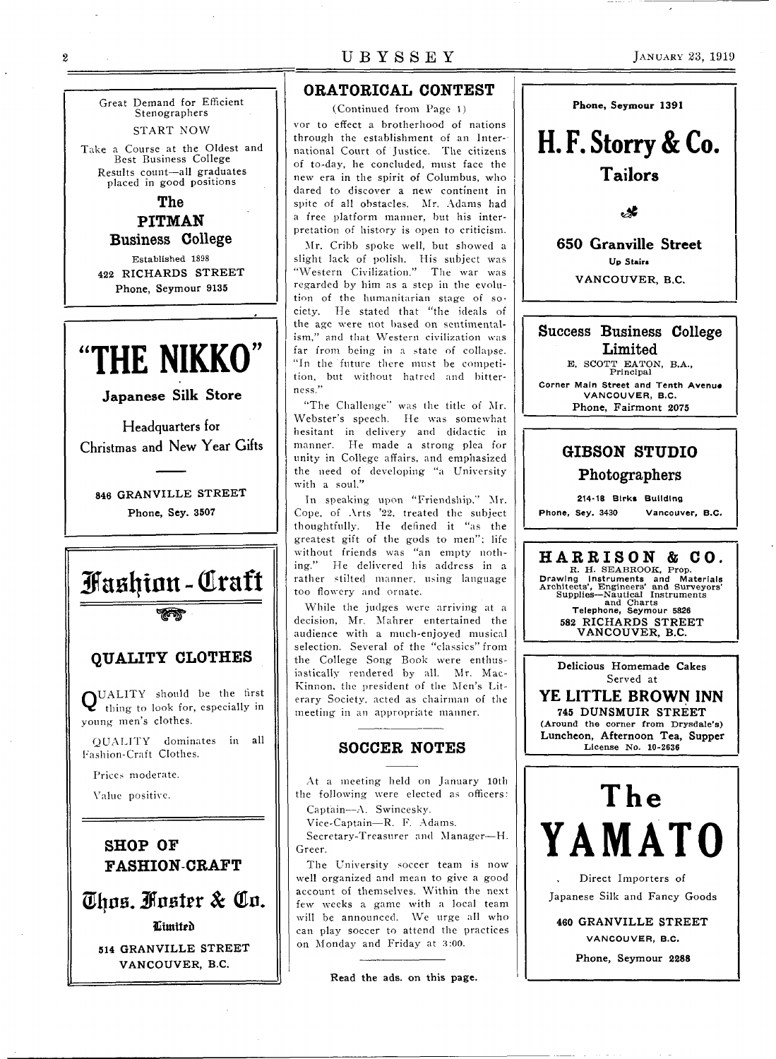Great Demand for Efficient Stenographers START NOW

Take a Course at the Oldest and Best Business College Results count—all graduates placed in good positions

> The PITMAN Business College

Established 1898 **422 RICHARDS STREET Phone, Seymour 9135** 

# **<sup>U</sup>>> THE NIKKO**

Japanese Silk Store

Headquarters for Christmas and New Year Gifts

**846 GRANVILLE STREET Phone, Sey. 3507** 



**Utmilru 514 GRANVILLE STREET VANCOUVER, B.C.** 

### ORATORICAL CONTEST

(Continued from Page 1) vor to effect a brotherhood of nations through the establishment of an International Court of Justice. The citizens of to-day, he concluded, must face the new era in the spirit of Columbus, who dared to discover a new continent in spite of all obstacles. Mr. Adams had a free platform manner, but his interpretation of history is open to criticism.

Mr. Cribb spoke well, but showed a slight lack of polish. His subject was "Western Civilization." The war was regarded by him as a step in the evolution of the humanitarian stage of society. He stated that "the ideals of the age were not based on sentimentalism," and that Western civilization was far from being in a state of collapse. "In the future there must be competition, but without hatred and bitterness."

"The Challenge" was the title of Mr. Webster's speech. He was somewhat hesitant in delivery and didactic in manner. He made a strong plea for unity in College affairs, and emphasized the need of developing "a University with a soul."

In speaking upon "Friendship," Mr. Cope, of Arts '22. treated the subject thoughtfully. He defined it "as the greatest gift of the gods to men": life without friends was "an empty nothing." He delivered his address in a rather stilted manner, using language too flowery and ornate.

While the judges were arriving at a decision, Mr. Mahrer entertained the audience with a much-enjoyed musical selection. Several of the "classics" from the College Song Book were enthusiastically rendered by all. Mr. Mac-Kinnon, the president of the Men's Literary Society, acted as chairman of the meeting in an appropriate manner.

### SOCCER NOTES

At a meeting held on January 10th the following were elected as officers: Captain—A. Swincesky.

Vice-Captain—R. F. Adams.

Secretary-Treasurer and Manager—H. Greer.

The University soccer team is now well organized and mean to give a good account of themselves. Within the next few weeks a game with a local team will be announced. We urge all who can play soccer to attend the practices on Monday and Friday at 3:00.

Read **the** ads. on this page.





 $\boldsymbol{2}$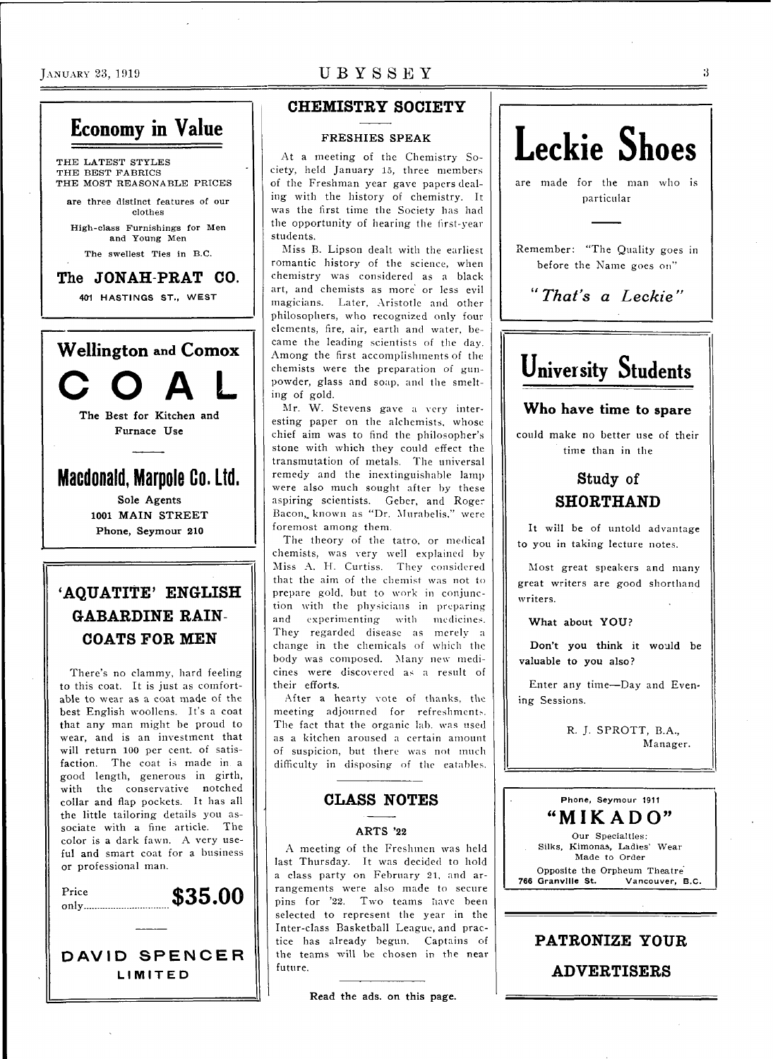

## **CHEMISTRY SOCIETY**

#### **FRESHIES SPEAK**

At a meeting of the Chemistry Society, held January 15, three members of the Freshman year gave papers dealing with the history of chemistry. It was the first time the Society has had the opportunity of hearing the first-year students.

Miss B. Lipson dealt with the earliest romantic history of the science, when chemistry was considered as a black art, and chemists as more or less evil magicians. Later, Aristotle and other philosophers, who recognized only four elements, fire, air, earth and water, became the leading scientists of the day. Among the first accomplishments of the chemists were the preparation of gunpowder, glass and soap, and the smelting of gold.

Mr. W. Stevens gave a very interesting paper on the alchemists, whose chief aim was to find the philosopher's stone with which they could effect the transmutation of metals. The universal remedy and the inextinguishable lamp were also much sought after by these aspiring scientists. Geber, and Roger Bacon, known as "Dr. Murabelis." were foremost among them.

The theory of the tatro, or medical chemists, was very well explained by Miss A. H. Curtiss. They considered that the aim of the chemist was not to prepare gold, but to work in conjunction with the physicians in preparing and experimenting with medicines. They regarded disease as merely a change in the chemicals of which the body was composed. Many new medicines were discovered as a result of their efforts.

After a hearty vote of thanks, the meeting adjourned for refreshments. The fact that the organic lab. was used as a kitchen aroused a certain amount of suspicion, but there was not much difficulty in disposing of the eatables.

### CLASS NOTES

#### **ARTS '22**

A meeting of the Freshmen was held last Thursday. It was decided to hold a class party on February 21, and arrangements were also made to secure pins for '22. Two teams have been selected to represent the year in the Inter-class Basketball League, and practice has already begun. Captains of the teams will be chosen in the near future.

**Read the ads.** on **this page.** 



Remember: "The Quality goes in before the Name goes on"

*"That's a Leckie"* 

## **University Students**

### Who have time to spare

could make no better use of their time than in the

## Study of SHORTHAND

It will be of untold advantage to you in taking lecture notes.

Most great speakers and many great writers are good shorthand writers.

**What about YOU?** 

**Don't you think it** would be **valuable to you** also?

Enter any time-Day and Evening Sessions.

> R. J. SPROTT, B.A., Manager.



#### **PATRONIZE YOUR**

ADVERTISERS

 $\mathbf{3}$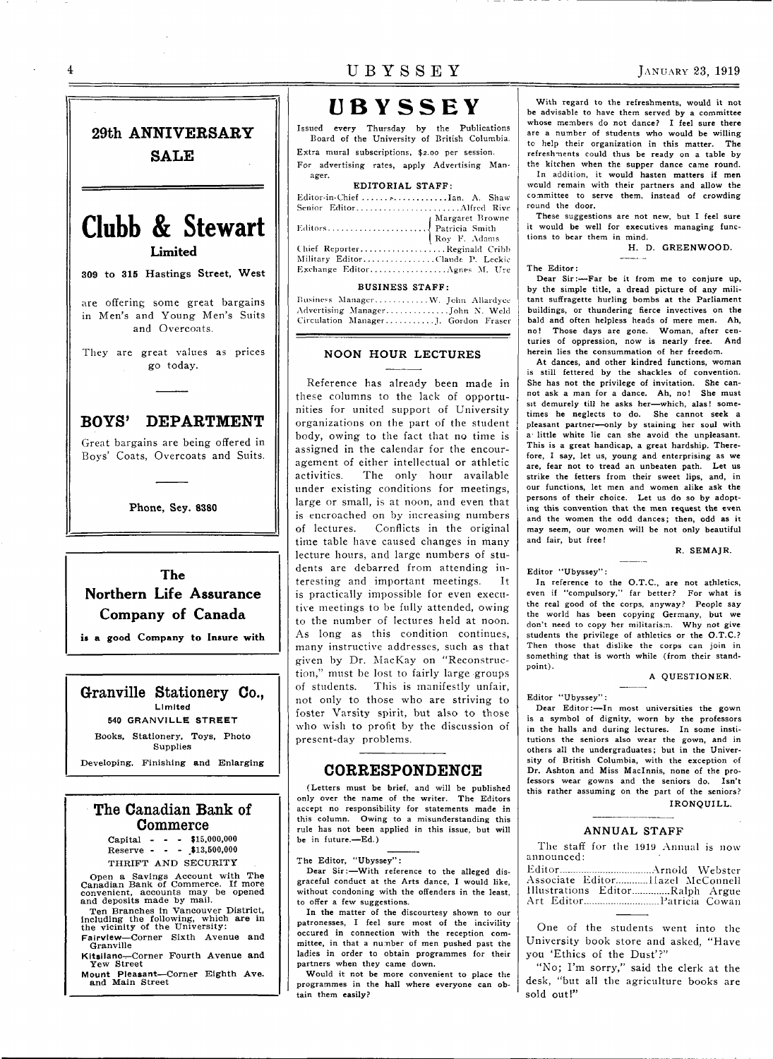$\Delta$ 



**309 to 315 Hastings Street, West** 

are offering some great bargains in Men's and Young Men's Suits and Overcoats.

They are great values as prices go today.

### BOYS' DEPARTMENT

Great bargains are being offered in Boys' Coats, Overcoats and Suits.

**Phone, Sey. 8380** 

The Northern Life Assurance Company of Canada

**is a good Company to Insure with** 

Granville Stationery Co., Limited 540 GRANVILLE STREE T Books, Stationery, Toys, Photo

**Supplies** Developing. Finishing and Enlarging

### The Canadian Bank of Commerce

Capital - Reserve -  $-$  \$15,000,000 - \$13,500,000 THRIFT AND SECURITY

Open a Savings Account with The<br>Canadian Bank of Commerce. If more<br>convenient, accounts may be opened<br>and deposits made by mail.

Ten Branches in Vancouver District,<br>including the following, which are in<br>the vicinity of the University:

Fairview—Corner Sixth Avenue and<br>Granville

Granville<br>Kitsilano—Corner Fourth Avenue and<br>Yew Street

Mount Pleasant—Corner Eighth Ave.<br>and Main Street

## UBYSSEY JANUARY 23, 1919

# **UBYSSEY**<br>Issued every Thursday by the Publications

Issued every Thursday by the Publications Board of the University of British Columbia. Extra mural subscriptions, \$2.00 per session. For advertising rates, apply Advertising Man-

#### EDITORIAL STAFF: Editor-in-Chief ........................ Ian. A. Shaw Senior Editor Alfred Rive

ager.

| Chief ReporterReginald Cribb    |  |
|---------------------------------|--|
| Military EditorClaude P. Leckie |  |
| Exchange EditorAgnes M. Ure     |  |

#### BUSINESS STAFF:

| Business ManagerW. Jehn Allardyce   |  |
|-------------------------------------|--|
|                                     |  |
| Circulation ManagerJ. Gordon Fraser |  |

#### **NOON HOUR LECTURES**

Reference has already been made in these columns to the lack of opportunities for united support of University organizations on the part of the student body, owing to the fact that no time is assigned in the calendar for the encouragement of either intellectual or athletic<br>activities. The only hour available The only hour available under existing conditions for meetings, large or small, is at noon, and even that is encroached on by increasing numbers of lectures. Conflicts in the original time table have caused changes in many lecture hours, and large numbers of students are debarred from attending interesting and important meetings. It is practically impossible for even executive meetings to be fully attended, owing to the number of lectures held at noon. As long as this condition continues, many instructive addresses, such as that given by Dr. MacKay on "Reconstruction," must be lost to fairly large groups of students. This is manifestly unfair, not only to those who are striving to foster Varsity spirit, but also to those who wish to profit by the discussion of present-day problems.

#### CORRESPONDENCE

(Letters must be brief, and will be published only over the name of the writer. The Editors accept no responsibility for statements made in this column. Owing to a misunderstanding this rule has not been applied in this issue, but will be in future.—Ed.)

The Editor, "Ubyssey":

Dear Sir:—With reference to the alleged disgraceful conduct at the Arts dance, I would like, without condoning with the offenders in the least, to offer a few suggestions.

In the matter of the discourtesy shown to our patronesses, I feel sure most of the incivility occured in connection with the reception committee, in that a number of men pushed past the ladies in order to obtain programmes for their partners when they came down.

Would it not be more convenient to place the programmes in the hall where everyone can obtain them easily?

With regard to the refreshments, would it not be advisable to have them served by a committee whose members do not dance? I feel sure there are a number of students who would be willing to help their organization in this matter. The refreshments could thus be ready on a table by the kitchen when the supper dance came round. In addition, it would hasten matters if men would remain with their partners and allow the committee to serve them, instead of crowding round the door.

These suggestions are not new, but I feel sure it would be well for executives managing functions to bear them in mind.

H. D. GREENWOOD.

#### The Editor:

Dear Sir:—Far be it from me to conjure up, by the simple title, a dread picture of any militant suffragette hurling bombs at the Parliament buildings, or thundering fierce invectives on the bald and often helpless heads of mere men. Ah, no! Those days are gone. Woman, after centuries of oppression, now is nearly free. And herein lies the consummation of her freedom.

At dances, and other kindred functions, woman is still fettered by the shackles of convention. She has not the privilege of invitation. She cannot ask a man for a dance. Ah, no! She must sit demurely till he asks her—which, alas! sometimes he neglects to do. She cannot seek a pleasant partner—only by staining her soul with a little white lie can she avoid the unpleasant. This is a great handicap, a great hardship. Therefore, I say, let us, young and enterprising as we are, fear not to tread an unbeaten path. Let us strike the fetters from their sweet lips, and, in our functions, let men and women alike ask the persons of their choice. Let us do so by adopting this convention that the men request the even and the women the odd dances; then, odd as it may seem, our women will be not only beautiful and fair, but free!

R. SEMAJR.

Editor "Ubyssey":

In reference to the O.T.C., are not athletics, even if "compulsory," far better? For what is the real good of the corps, anyway? People say the world has been copying Germany, but we don't need to copy her militarism. Why not give students the privilege of athletics or the O.T.C.? Then those that dislike the corps can join in something that is worth while (from their standpoint).

 $\frac{1}{2}$ 

A QUESTIONER.

#### Editor "Ubyssey":

Dear Editor:—In most universities the gown is a symbol of dignity, worn by the professors in the halls and during lectures. In some institutions the seniors also wear the gown, and in others all the undergraduates; but in the University of British Columbia, with the exception of Dr. Ashton and Miss Maclnnis, none of the professors wear gowns and the seniors do. Isn't this rather assuming on the part of the seniors? IRONQUILL.

#### **ANNUAL STAFF**

The staff for the 1919 Annual is now announced:

..................Arnold Webster Associate Editor.............Ilazel McConnell Illustrations Editor..............Ralph Argue Art Editor................................. Patricia Cowan

One of the students went into the University book store and asked, "Have you 'Ethics of the Dust'?"

"No; I'm sorry," said the clerk at the desk, "but all the agriculture books are sold out!"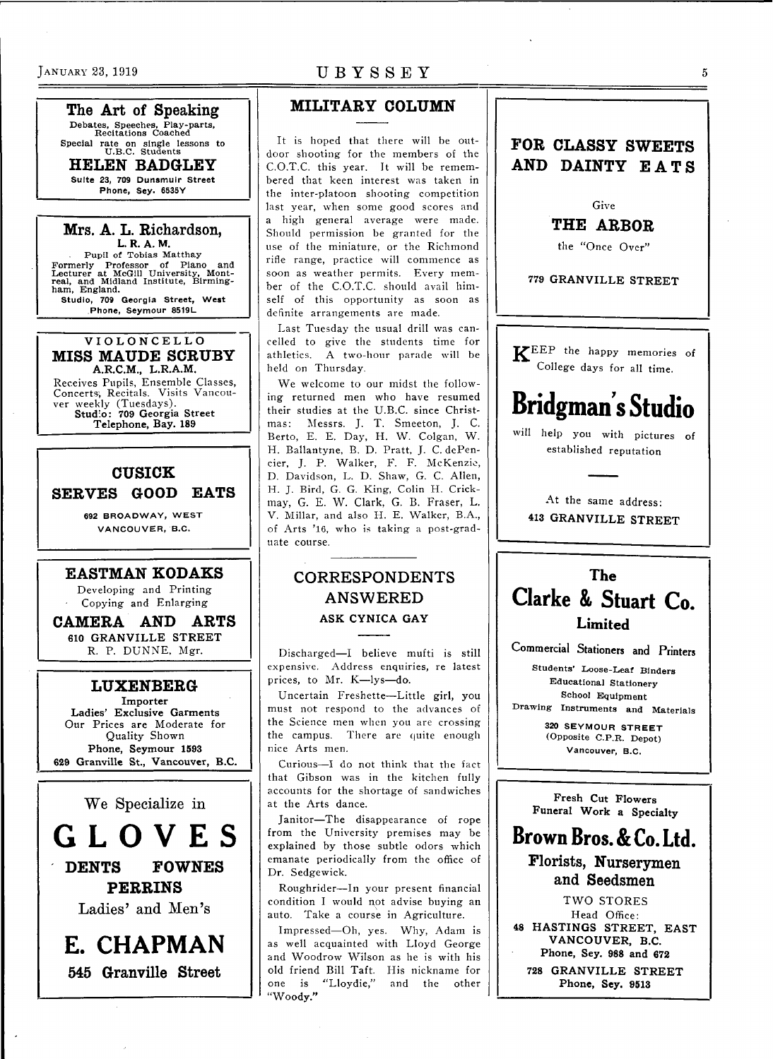The Art of Speaking Debates, Speeches, Play-parts, Recitations Coached Recitations Coached

Special rate on single lessons to

HELEN BADGLEY Suite 23, 709 Dunsmuir Street **Phone, Sey. 6535Y Phone, Sey. 6535Y** 

Mrs. A. L. Richardson, **L. R. A. M.**  Pupil of Tobias Matthay Formerly Professor of Piano and Lecturer at McGill University, Mont-real, and Midland Institute, Birming-ham, England.

**Studio, 709 Georgia Street, West Phone, Seymour 8519L** 

**VIOLONCELL O**  MISS MAUDE SCRUBY **A.R.C.M., L.R.A.M.**  Receives Pupils, Ensemble Classes, Concerts; Recitals. Visits Vancouver weekly (Tuesdays).

**Studio: 709 Georgia Street Telephone, Bay. 189** 

## CUSICK SERVES GOOD EATS

**692 BROADWAY, WEST VANCOUVER, B.C.** 

#### EASTMAN KODAKS

Developing and Printing Copying and Enlarging

CAMERA AND ARTS **610 GRANVILLE STREET**  R. P. DUNNE, Mgr.

### LUXENBERG

**Importer Ladies' Exclusive Garments**  Our Prices are Moderate for Quality Shown **Phone, Seymour 1593 629 Granville St., Vancouver, B.C.** 

We Specialize in

**GLOVE S**  DENTS FOWNES

PERRINS

Ladies' and Men's

**E. CHAPMAN**  545 Granville Street

## JANUARY 23, 1919 UBYSSEY

## MILITARY COLUMN

It is hoped that there will be outdoor shooting for the members of the C.O.T.C. this year. It will be remembered that keen interest was taken in the inter-platoon shooting competition last year, when some good scores and a high general average were made. Should permission be granted for the use of the miniature, or the Richmond rifle range, practice will commence as soon as weather permits. Every member of the C.O.T.C. should avail himself of this opportunity as soon as definite arrangements are made.

Last Tuesday the usual drill was cancelled to give the students time for athletics. A two-hour parade will be held on Thursday.

We welcome to our midst the following returned men who have resumed their studies at the U.B.C. since Christmas: Messrs. J. T. Smeeton, J. C. Berto, E. E. Day, H. W. Colgan, W. H. Ballantyne, B. D. Pratt, J. C. dePencier, J. P. Walker, F. F. McKenzie, D. Davidson, L. D. Shaw, G. C. Allen, H. J. Bird, G. G. King, Colin H. Crickmay, G. E. W. Clark, G. B. Fraser, L. V. Millar, and also H. E. Walker, B.A., of Arts '16, who is taking a post-graduate course.

## CORRESPONDENTS ANSWERED **ASK CYNICA GAY**

Discharged—I believe mufti is still expensive. Address enquiries, re latest prices, to Mr. K—lys—do.

Uncertain Freshette—Little girl, you must not respond to the advances of the Science men when you are crossing the campus. There are quite enough nice Arts men.

Curious-I do not think that the fact that Gibson was in the kitchen fully accounts for the shortage of sandwiches at the Arts dance.

Janitor—The disappearance of rope from the University premises may be explained by those subtle odors which emanate periodically from the office of Dr. Sedgewick.

Roughrider—In your present financial condition I would not advise buying an auto. Take a course in Agriculture.

Impressed—Oh, yes. Why, Adam is as well acquainted with Lloyd George and Woodrow Wilson as he is with his old friend Bill Taft. His nickname for one is "Lloydie," and the other "Woody."

## **FOR CLASSY SWEETS AND DAINTY EATS**

Give

**THE ARBOR** 

the "Once Over"

779 GRANVILLE STREET

KEEP the happy memories of College days for all time.

## **Bridgman s Studio**

will help you with pictures of established reputation

At the same address: **413 GRANVILLE STREET** 

## The **Clarke & Stuart Co.**  Limited

**Commercial Stationers and Printers** 

Students' Loose-Leaf Binders Educational Stationery School Equipment

Drawing Instruments and Materials

**320 SEYMOUR STREET**  (Opposite C.P.R. Depot) **Vancouver, B.C.** 

**Fresh Cut Flowers Funeral Work a Specialty** 

## **Brown Bros. & Co. Ltd.**  Florists, Nurserymen and Seedsmen

TWO STORES Head Office: **48 HASTINGS STREET, EAST VANCOUVER, B.C. Phone, Sey. 988 and 672** 

**728 GRANVILLE STREET Phone, Sey. 9513**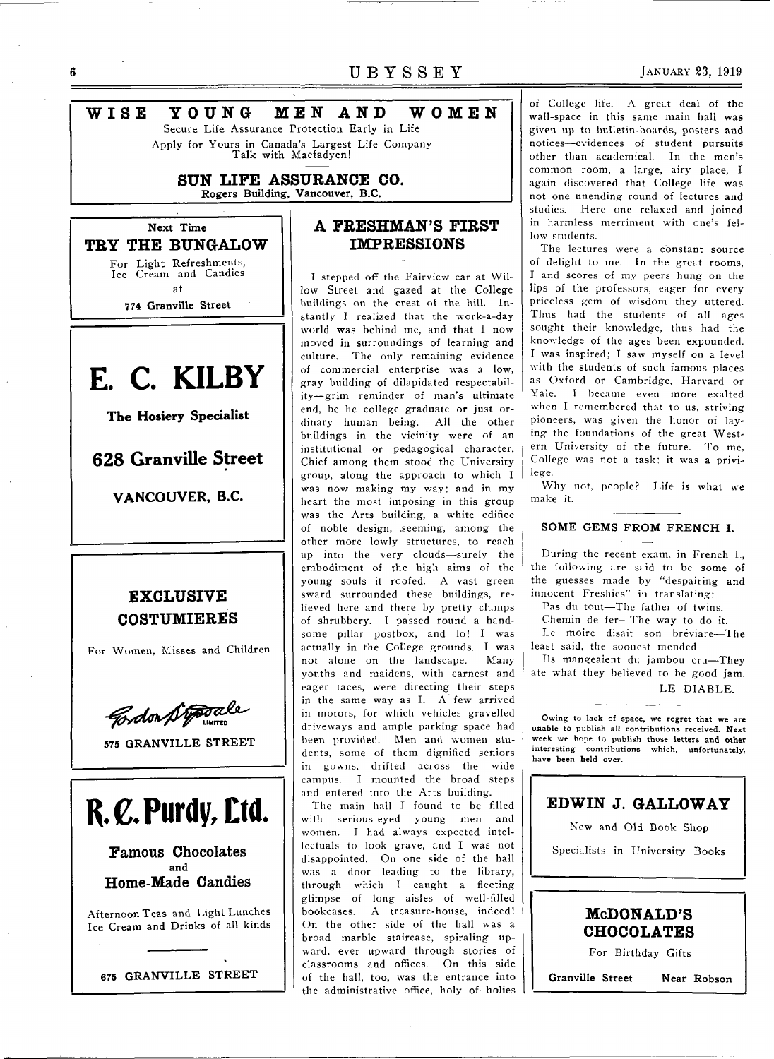## 6 **UBYSSE Y JANUARY 23, 1919 WIS E YOUN G ME N AN D WOME N**  Secure Life Assurance Protection Early in Life Apply for Yours in Canada's Largest Life Company Talk with Macfadyen! **SUN LIFE ASSURANCE CO. Rogers Building, Vancouver, B.C. Next Time IMPRESSIONS TRY THE BUNGALOW**  For Light Refreshments, Ice Cream and Candies I stepped off the Fairview car at Wilat **774 Granville Street E. C. KILBY**

**The Hosiery Specialist** 

**628 Granville Street** 

**VANCOUVER, B.C.** 

## **EXCLUSIVE COSTUMIERES**

For Women, Misses and Children

Cordon Stoppale

**575 GRANVILLE STREET** 



Famous Chocolates **and**  Home-Made Candies

Afternoon Teas and Light Lunches Ice Cream and Drinks of all kinds



## **A FRESHMAN'S FIRST**

low Street and gazed at the College buildings on the crest of the hill. Instantly I realized that the work-a-day world was behind me, and that I now moved in surroundings of learning and culture. The only remaining evidence of commercial enterprise was a low, gray building of dilapidated respectability—grim reminder of man's ultimate end, be he college graduate or just ordinary human being. All the other buildings in the vicinity were of an institutional or pedagogical character. Chief among them stood the University group, along the approach to which I was now making my way; and in my heart the most imposing in this group was the Arts building, a white edifice of noble design, .seeming, among the other more lowly structures, to reach up into the very clouds—surely the embodiment of the high aims of the young souls it roofed. A vast green sward surrounded these buildings, relieved here and there by pretty clumps of shrubbery. I passed round a handsome pillar postbox, and lo! I was actually in the College grounds. I was not alone on the landscape. Many youths and maidens, with earnest and eager faces, were directing their steps in the same way as I. A few arrived in motors, for which vehicles gravelled driveways and ample parking space had been provided. Men and women students, some of them dignified seniors in gowns, drifted across the wide campus. I mounted the broad steps and entered into the Arts building.

The main hall I found to be filled with serious-eyed young men and women. I had always expected intellectuals to look grave, and I was not disappointed. On one side of the hall was a door leading to the library, through which I caught a fleeting glimpse of long aisles of well-filled bookcases. A treasure-house, indeed! On the other side of the hall was a broad marble staircase, spiraling upward, ever upward through stories of classrooms and offices. On this side of the hall, too, was the entrance into the administrative office, holy of holies

of College life. A great deal of the wall-space in this same main hall was given up to bulletin-boards, posters and notices—evidences of student pursuits other than academical. In the men's common room, a large, airy place, I again discovered that College life was not one unending round of lectures and studies. Here one relaxed and joined in harmless merriment with one's fellow-students.

The lectures were a constant source of delight to me. In the great rooms, I and scores of my peers hung on the lips of the professors, eager for every priceless gem of wisdom they uttered. Thus had the students of all ages sought their knowledge, thus had the knowledge of the ages been expounded. I was inspired; I saw myself on a level with the students of such famous places as Oxford or Cambridge, Harvard or Yale. I became even more exalted when I remembered that to us, striving pioneers, was given the honor of laying the foundations of the great Western University of the future. To me, College was not a task; it was a privilege.

Why not, people? Life is what we make it.

#### **SOME GEMS FROM FRENCH I.**

During the recent exam, in French I., the following are said to be some of the guesses made by "despairing and innocent Freshies" in translating:

Pas du tout—The father of twins.

Chemin de fer—The way to do it. Le moire disait son bréviare-The least said, the soonest mended.

lis mangeaient du jambou cru—They ate what they believed to be good jam. LE DIABLE.

Owing to lack of space, we regret that we are unable to publish all contributions received. Next week we hope to publish those letters and other interesting contributions which, unfortunately, have been held over.

## **EDWIN J. GALLOWAY**

New and Old Book Shop

Specialists in University Books



For Birthday Gifts

**Granville Street Near Robson**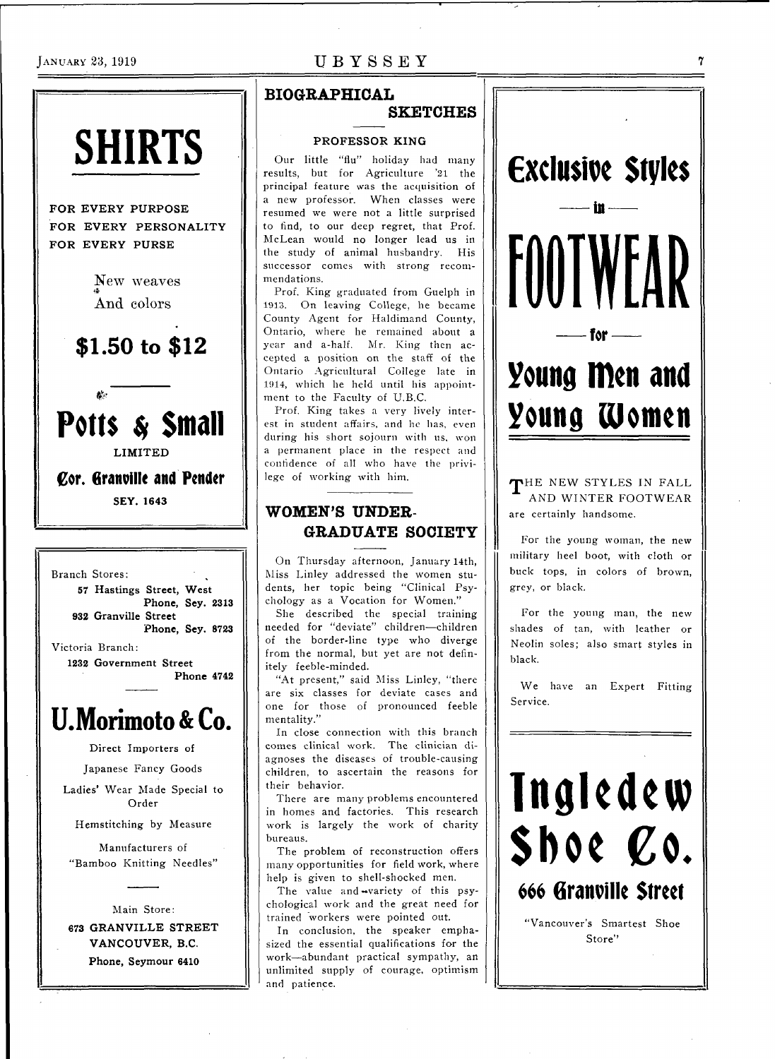## JANUARY 23, 1919 **UBYSSE Y**



FOR EVERY PURPOSE FOR EVERY PERSONALITY FOR EVERY PURSE

> New weaves And colors

## **\$1.50 to \$12**





**Cor. Granville and Pender SEY.164 3** 



## **U.Morimoto&Co.**

**Direct** Importers of

Japanese Fancy Goods

Ladies' Wear Made Special to Order

Hemstitching by Measure

Manufacturers of "Bamboo Knitting Needles"

Main Store : **673 GRANVILLE STREET VANCOUVER, B.C. Phone, Seymour 6410** 

## **BIOGRAPHICAL**

### **SKETCHES**

#### **PROFESSOR KING**

Our little "flu" holiday had many results, but for Agriculture '21 the principal feature was the acquisition of a new professor. When classes were resumed we were not a little surprised to find, to our deep regret, that Prof. McLean would no longer lead us in the study of animal husbandry. His successor comes with strong recommendations.

Prof. King graduated from Guelph in 1913. On leaving College, he became County Agent for Haldimand County, Ontario, where he remained about a year and a-half. Mr. King then accepted a position on the staff of the Ontario Agricultural College late in 1914, which he held until his appointment to the Faculty of U.B.C.

Prof. King takes a very lively interest in student affairs, and he has, even during his short sojourn with us, won a permanent place in the respect and confidence of all who have the privilege of working with him.

## **WOMEN'S UNDER-GRADUATE SOCIETY**

On Thursday afternoon, January 14th, Miss Linley addressed the women students, her topic being "Clinical Psychology as a Vocation for Women.'

She described the special training needed for "deviate" children—children of the border-line type who diverge from the normal, but yet are not definitely feeble-minded.

"At present," said Miss Linley, "there are six classes for deviate cases and one for those of pronounced feeble mentality."

In close connection with this branch comes clinical work. The clinician diagnoses the diseases of trouble-causing children, to ascertain the reasons for their behavior.

There are many problems encountered in homes and factories. This research work is largely the work of charity bureaus.

The problem of reconstruction offers many opportunities for field work, where help is given to shell-shocked men.

The value and wariety of this psychological work and the great need for trained "workers were pointed out.

In conclusion, the speaker emphasized the essential qualifications for the work—abundant practical sympathy, an unlimited supply of courage, optimism and patience.



THE NEW STYLES IN FALL AND WINTER FOOTWEAR are certainly handsome.

For the young woman, the new military heel boot, with cloth or buck tops, in colors of brown, grey, or black.

For the young man, the new shades of tan, with leather or Neolin soles; also smart styles in black.

We have an Expert Fitting Service.